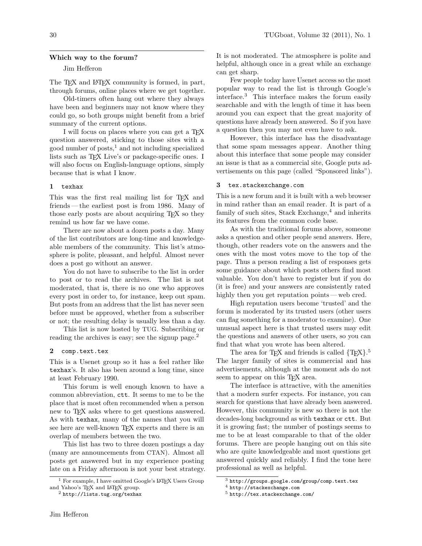### Which way to the forum?

# Jim Hefferon

The T<sub>E</sub>X and L<sup>AT</sup>E<sub>X</sub> community is formed, in part, through forums, online places where we get together.

Old-timers often hang out where they always have been and beginners may not know where they could go, so both groups might benefit from a brief summary of the current options.

I will focus on places where you can get a TEX question answered, sticking to those sites with a good number of posts, $<sup>1</sup>$  $<sup>1</sup>$  $<sup>1</sup>$  and not including specialized</sup> lists such as T<sub>EX</sub> Live's or package-specific ones. I will also focus on English-language options, simply because that is what I know.

## 1 texhax

This was the first real mailing list for T<sub>E</sub>X and friends— the earliest post is from 1986. Many of those early posts are about acquiring TEX so they remind us how far we have come.

There are now about a dozen posts a day. Many of the list contributors are long-time and knowledgeable members of the community. This list's atmosphere is polite, pleasant, and helpful. Almost never does a post go without an answer.

You do not have to subscribe to the list in order to post or to read the archives. The list is not moderated, that is, there is no one who approves every post in order to, for instance, keep out spam. But posts from an address that the list has never seen before must be approved, whether from a subscriber or not; the resulting delay is usually less than a day.

This list is now hosted by TUG. Subscribing or reading the archives is easy; see the signup page.<sup>[2](#page-0-1)</sup>

## 2 comp.text.tex

This is a Usenet group so it has a feel rather like texhax's. It also has been around a long time, since at least February 1990.

This forum is well enough known to have a common abbreviation, ctt. It seems to me to be the place that is most often recommended when a person new to T<sub>F</sub>X asks where to get questions answered. As with texhax, many of the names that you will see here are well-known TEX experts and there is an overlap of members between the two.

This list has two to three dozen postings a day (many are announcements from CTAN). Almost all posts get answered but in my experience posting late on a Friday afternoon is not your best strategy. It is not moderated. The atmosphere is polite and helpful, although once in a great while an exchange can get sharp.

Few people today have Usenet access so the most popular way to read the list is through Google's interface.[3](#page-0-2) This interface makes the forum easily searchable and with the length of time it has been around you can expect that the great majority of questions have already been answered. So if you have a question then you may not even have to ask.

However, this interface has the disadvantage that some spam messages appear. Another thing about this interface that some people may consider an issue is that as a commercial site, Google puts advertisements on this page (called "Sponsored links").

#### 3 tex.stackexchange.com

This is a new forum and it is built with a web browser in mind rather than an email reader. It is part of a family of such sites, Stack Exchange,<sup>[4](#page-0-3)</sup> and inherits its features from the common code base.

As with the traditional forums above, someone asks a question and other people send answers. Here, though, other readers vote on the answers and the ones with the most votes move to the top of the page. Thus a person reading a list of responses gets some guidance about which posts others find most valuable. You don't have to register but if you do (it is free) and your answers are consistently rated highly then you get reputation points — web cred.

High reputation users become 'trusted' and the forum is moderated by its trusted users (other users can flag something for a moderator to examine). One unusual aspect here is that trusted users may edit the questions and answers of other users, so you can find that what you wrote has been altered.

The area for TEX and friends is called  $\{TEX\}$ .<sup>[5](#page-0-4)</sup> The larger family of sites is commercial and has advertisements, although at the moment ads do not seem to appear on this T<sub>EX</sub> area.

The interface is attractive, with the amenities that a modern surfer expects. For instance, you can search for questions that have already been answered. However, this community is new so there is not the decades-long background as with texhax or ctt. But it is growing fast; the number of postings seems to me to be at least comparable to that of the older forums. There are people hanging out on this site who are quite knowledgeable and most questions get answered quickly and reliably. I find the tone here professional as well as helpful.

<span id="page-0-0"></span><sup>&</sup>lt;sup>1</sup> For example, I have omitted Google's IATEX Users Group and Yahoo's TFX and LATFX group.

<span id="page-0-1"></span> $^2$ <http://lists.tug.org/texhax>

<span id="page-0-2"></span> $3$  <http://groups.google.com/group/comp.text.tex>

<span id="page-0-3"></span><sup>4</sup> <http://stackexchange.com>

<span id="page-0-4"></span><sup>5</sup> <http://tex.stackexchange.com/>